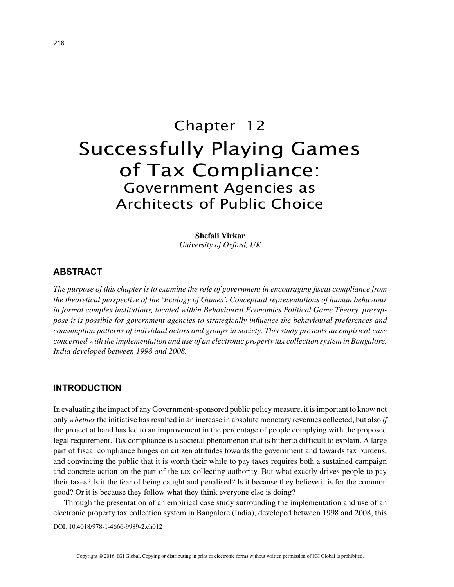# Chapter 12 Successfully Playing Games of Tax Compliance: Government Agencies as Architects of Public Choice

**Shefali Virkar** *University of Oxford, UK*

### **ABSTRACT**

*The purpose of this chapter is to examine the role of government in encouraging fiscal compliance from the theoretical perspective of the 'Ecology of Games'. Conceptual representations of human behaviour in formal complex institutions, located within Behavioural Economics Political Game Theory, presuppose it is possible for government agencies to strategically influence the behavioural preferences and consumption patterns of individual actors and groups in society. This study presents an empirical case concerned with the implementation and use of an electronic property tax collection system in Bangalore, India developed between 1998 and 2008.*

## **INTRODUCTION**

In evaluating the impact of any Government-sponsored public policy measure, it is important to know not only *whether* the initiative has resulted in an increase in absolute monetary revenues collected, but also *if* the project at hand has led to an improvement in the percentage of people complying with the proposed legal requirement. Tax compliance is a societal phenomenon that is hitherto difficult to explain. A large part of fiscal compliance hinges on citizen attitudes towards the government and towards tax burdens, and convincing the public that it is worth their while to pay taxes requires both a sustained campaign and concrete action on the part of the tax collecting authority. But what exactly drives people to pay their taxes? Is it the fear of being caught and penalised? Is it because they believe it is for the common good? Or it is because they follow what they think everyone else is doing?

Through the presentation of an empirical case study surrounding the implementation and use of an electronic property tax collection system in Bangalore (India), developed between 1998 and 2008, this

DOI: 10.4018/978-1-4666-9989-2.ch012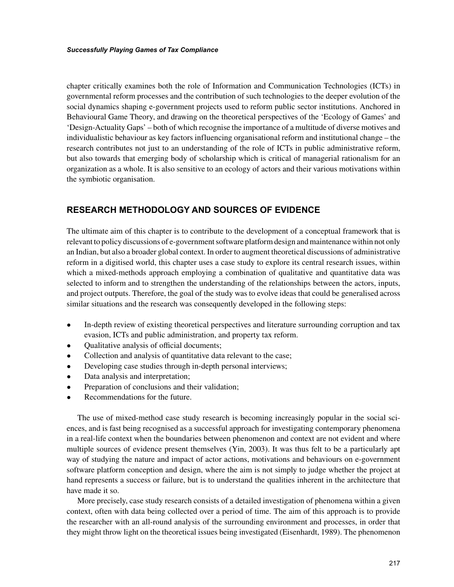chapter critically examines both the role of Information and Communication Technologies (ICTs) in governmental reform processes and the contribution of such technologies to the deeper evolution of the social dynamics shaping e-government projects used to reform public sector institutions. Anchored in Behavioural Game Theory, and drawing on the theoretical perspectives of the 'Ecology of Games' and 'Design-Actuality Gaps' – both of which recognise the importance of a multitude of diverse motives and individualistic behaviour as key factors influencing organisational reform and institutional change – the research contributes not just to an understanding of the role of ICTs in public administrative reform, but also towards that emerging body of scholarship which is critical of managerial rationalism for an organization as a whole. It is also sensitive to an ecology of actors and their various motivations within the symbiotic organisation.

# **RESEARCH METHODOLOGY AND SOURCES OF EVIDENCE**

The ultimate aim of this chapter is to contribute to the development of a conceptual framework that is relevant to policy discussions of e-government software platform design and maintenance within not only an Indian, but also a broader global context. In order to augment theoretical discussions of administrative reform in a digitised world, this chapter uses a case study to explore its central research issues, within which a mixed-methods approach employing a combination of qualitative and quantitative data was selected to inform and to strengthen the understanding of the relationships between the actors, inputs, and project outputs. Therefore, the goal of the study was to evolve ideas that could be generalised across similar situations and the research was consequently developed in the following steps:

- In-depth review of existing theoretical perspectives and literature surrounding corruption and tax evasion, ICTs and public administration, and property tax reform.
- Qualitative analysis of official documents;
- Collection and analysis of quantitative data relevant to the case;
- Developing case studies through in-depth personal interviews;
- Data analysis and interpretation;
- Preparation of conclusions and their validation;
- Recommendations for the future.

The use of mixed-method case study research is becoming increasingly popular in the social sciences, and is fast being recognised as a successful approach for investigating contemporary phenomena in a real-life context when the boundaries between phenomenon and context are not evident and where multiple sources of evidence present themselves (Yin, 2003). It was thus felt to be a particularly apt way of studying the nature and impact of actor actions, motivations and behaviours on e-government software platform conception and design, where the aim is not simply to judge whether the project at hand represents a success or failure, but is to understand the qualities inherent in the architecture that have made it so.

More precisely, case study research consists of a detailed investigation of phenomena within a given context, often with data being collected over a period of time. The aim of this approach is to provide the researcher with an all-round analysis of the surrounding environment and processes, in order that they might throw light on the theoretical issues being investigated (Eisenhardt, 1989). The phenomenon